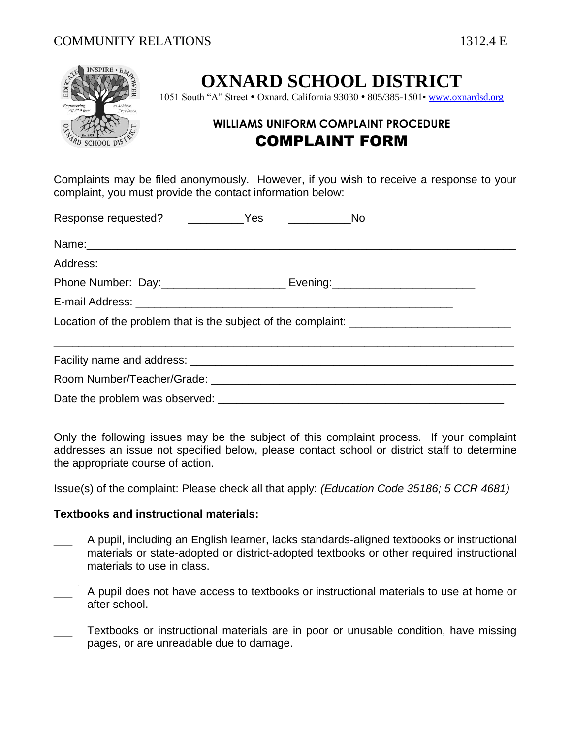

# **OXNARD SCHOOL DISTRICT**

1051 South "A" Street • Oxnard, California 93030 • 805/385-1501[• www.oxnardsd.org](http://www.oxnardsd.org/)

# **WILLIAMS UNIFORM COMPLAINT PROCEDURE** COMPLAINT FORM

Complaints may be filed anonymously. However, if you wish to receive a response to your complaint, you must provide the contact information below:

|  | _____________________No |
|--|-------------------------|
|  |                         |
|  |                         |
|  |                         |
|  |                         |
|  |                         |
|  |                         |
|  |                         |
|  |                         |

Only the following issues may be the subject of this complaint process. If your complaint addresses an issue not specified below, please contact school or district staff to determine the appropriate course of action.

Issue(s) of the complaint: Please check all that apply: *(Education Code 35186; 5 CCR 4681)*

## **Textbooks and instructional materials:**

- \_\_\_ A pupil, including an English learner, lacks standards-aligned textbooks or instructional materials or state-adopted or district-adopted textbooks or other required instructional materials to use in class.
- A pupil does not have access to textbooks or instructional materials to use at home or after school.
- Textbooks or instructional materials are in poor or unusable condition, have missing pages, or are unreadable due to damage.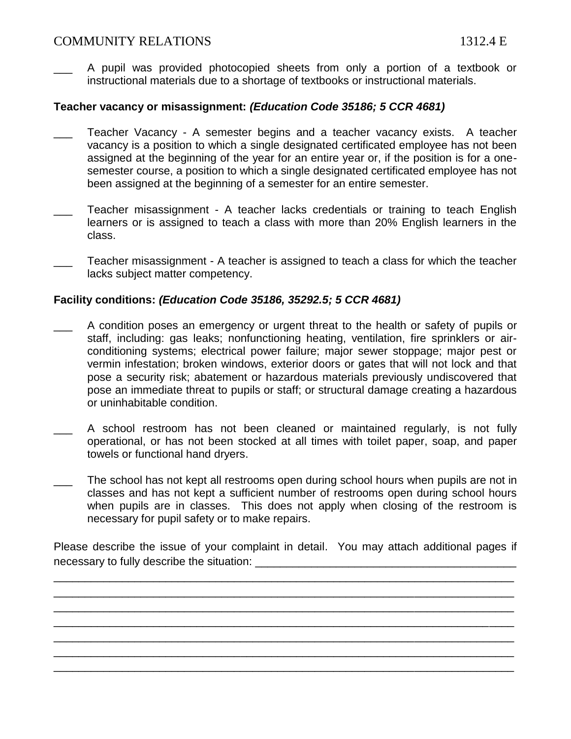# COMMUNITY RELATIONS 1312.4 E

\_\_\_ A pupil was provided photocopied sheets from only a portion of a textbook or instructional materials due to a shortage of textbooks or instructional materials.

### **Teacher vacancy or misassignment:** *(Education Code 35186; 5 CCR 4681)*

- Teacher Vacancy A semester begins and a teacher vacancy exists. A teacher vacancy is a position to which a single designated certificated employee has not been assigned at the beginning of the year for an entire year or, if the position is for a onesemester course, a position to which a single designated certificated employee has not been assigned at the beginning of a semester for an entire semester.
- Teacher misassignment A teacher lacks credentials or training to teach English learners or is assigned to teach a class with more than 20% English learners in the class.
- Teacher misassignment A teacher is assigned to teach a class for which the teacher lacks subject matter competency.

#### **Facility conditions:** *(Education Code 35186, 35292.5; 5 CCR 4681)*

- A condition poses an emergency or urgent threat to the health or safety of pupils or staff, including: gas leaks; nonfunctioning heating, ventilation, fire sprinklers or airconditioning systems; electrical power failure; major sewer stoppage; major pest or vermin infestation; broken windows, exterior doors or gates that will not lock and that pose a security risk; abatement or hazardous materials previously undiscovered that pose an immediate threat to pupils or staff; or structural damage creating a hazardous or uninhabitable condition.
- A school restroom has not been cleaned or maintained regularly, is not fully operational, or has not been stocked at all times with toilet paper, soap, and paper towels or functional hand dryers.
- The school has not kept all restrooms open during school hours when pupils are not in classes and has not kept a sufficient number of restrooms open during school hours when pupils are in classes. This does not apply when closing of the restroom is necessary for pupil safety or to make repairs.

Please describe the issue of your complaint in detail. You may attach additional pages if necessary to fully describe the situation:

\_\_\_\_\_\_\_\_\_\_\_\_\_\_\_\_\_\_\_\_\_\_\_\_\_\_\_\_\_\_\_\_\_\_\_\_\_\_\_\_\_\_\_\_\_\_\_\_\_\_\_\_\_\_\_\_\_\_\_\_\_\_\_\_\_\_\_\_\_\_\_\_\_\_ \_\_\_\_\_\_\_\_\_\_\_\_\_\_\_\_\_\_\_\_\_\_\_\_\_\_\_\_\_\_\_\_\_\_\_\_\_\_\_\_\_\_\_\_\_\_\_\_\_\_\_\_\_\_\_\_\_\_\_\_\_\_\_\_\_\_\_\_\_\_\_\_\_\_ \_\_\_\_\_\_\_\_\_\_\_\_\_\_\_\_\_\_\_\_\_\_\_\_\_\_\_\_\_\_\_\_\_\_\_\_\_\_\_\_\_\_\_\_\_\_\_\_\_\_\_\_\_\_\_\_\_\_\_\_\_\_\_\_\_\_\_\_\_\_\_\_\_\_ \_\_\_\_\_\_\_\_\_\_\_\_\_\_\_\_\_\_\_\_\_\_\_\_\_\_\_\_\_\_\_\_\_\_\_\_\_\_\_\_\_\_\_\_\_\_\_\_\_\_\_\_\_\_\_\_\_\_\_\_\_\_\_\_\_\_\_\_\_\_\_\_\_\_ \_\_\_\_\_\_\_\_\_\_\_\_\_\_\_\_\_\_\_\_\_\_\_\_\_\_\_\_\_\_\_\_\_\_\_\_\_\_\_\_\_\_\_\_\_\_\_\_\_\_\_\_\_\_\_\_\_\_\_\_\_\_\_\_\_\_\_\_\_\_\_\_\_\_ \_\_\_\_\_\_\_\_\_\_\_\_\_\_\_\_\_\_\_\_\_\_\_\_\_\_\_\_\_\_\_\_\_\_\_\_\_\_\_\_\_\_\_\_\_\_\_\_\_\_\_\_\_\_\_\_\_\_\_\_\_\_\_\_\_\_\_\_\_\_\_\_\_\_ \_\_\_\_\_\_\_\_\_\_\_\_\_\_\_\_\_\_\_\_\_\_\_\_\_\_\_\_\_\_\_\_\_\_\_\_\_\_\_\_\_\_\_\_\_\_\_\_\_\_\_\_\_\_\_\_\_\_\_\_\_\_\_\_\_\_\_\_\_\_\_\_\_\_